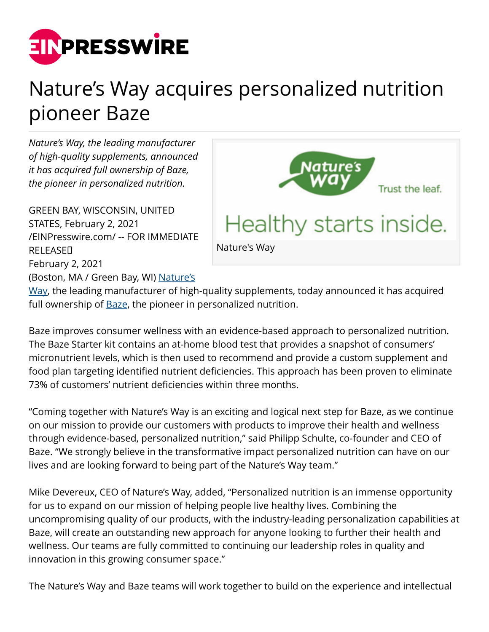

## Nature's Way acquires personalized nutrition pioneer Baze

*Nature's Way, the leading manufacturer of high-quality supplements, announced it has acquired full ownership of Baze, the pioneer in personalized nutrition.*

GREEN BAY, WISCONSIN, UNITED STATES, February 2, 2021 [/EINPresswire.com/](http://www.einpresswire.com) -- FOR IMMEDIATE **RELEASED** February 2, 2021 (Boston, MA / Green Bay, WI) [Nature's](http://www.naturesway.com/)



[Way,](http://www.naturesway.com/) the leading manufacturer of high-quality supplements, today announced it has acquired full ownership of **Baze**, the pioneer in personalized nutrition.

Baze improves consumer wellness with an evidence-based approach to personalized nutrition. The Baze Starter kit contains an at-home blood test that provides a snapshot of consumers' micronutrient levels, which is then used to recommend and provide a custom supplement and food plan targeting identified nutrient deficiencies. This approach has been proven to eliminate 73% of customers' nutrient deficiencies within three months.

"Coming together with Nature's Way is an exciting and logical next step for Baze, as we continue on our mission to provide our customers with products to improve their health and wellness through evidence-based, personalized nutrition," said Philipp Schulte, co-founder and CEO of Baze. "We strongly believe in the transformative impact personalized nutrition can have on our lives and are looking forward to being part of the Nature's Way team."

Mike Devereux, CEO of Nature's Way, added, "Personalized nutrition is an immense opportunity for us to expand on our mission of helping people live healthy lives. Combining the uncompromising quality of our products, with the industry-leading personalization capabilities at Baze, will create an outstanding new approach for anyone looking to further their health and wellness. Our teams are fully committed to continuing our leadership roles in quality and innovation in this growing consumer space."

The Nature's Way and Baze teams will work together to build on the experience and intellectual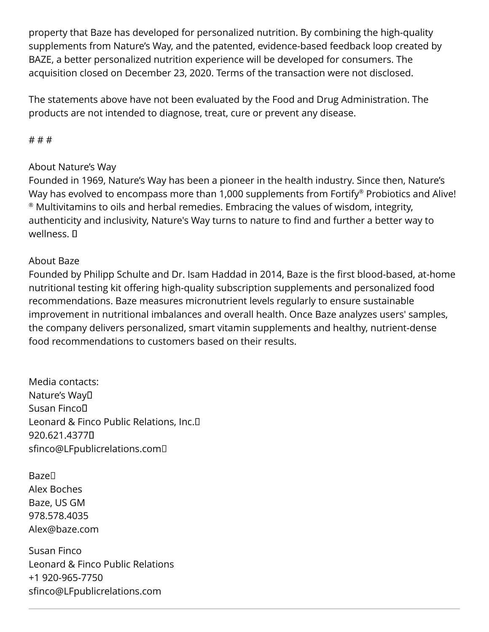property that Baze has developed for personalized nutrition. By combining the high-quality supplements from Nature's Way, and the patented, evidence-based feedback loop created by BAZE, a better personalized nutrition experience will be developed for consumers. The acquisition closed on December 23, 2020. Terms of the transaction were not disclosed.

The statements above have not been evaluated by the Food and Drug Administration. The products are not intended to diagnose, treat, cure or prevent any disease.

# # #

## About Nature's Way

Founded in 1969, Nature's Way has been a pioneer in the health industry. Since then, Nature's Way has evolved to encompass more than 1,000 supplements from Fortify® Probiotics and Alive!  $^\circ$  Multivitamins to oils and herbal remedies. Embracing the values of wisdom, integrity, authenticity and inclusivity, Nature's Way turns to nature to find and further a better way to wellness. <sub>II</sub>

## About Baze

Founded by Philipp Schulte and Dr. Isam Haddad in 2014, Baze is the first blood-based, at-home nutritional testing kit offering high-quality subscription supplements and personalized food recommendations. Baze measures micronutrient levels regularly to ensure sustainable improvement in nutritional imbalances and overall health. Once Baze analyzes users' samples, the company delivers personalized, smart vitamin supplements and healthy, nutrient-dense food recommendations to customers based on their results.

Media contacts: Nature's Way Susan Finco Leonard & Finco Public Relations, Inc. 920.621.4377 sfinco@LFpublicrelations.com 

**Baze**<sup>[]</sup> Alex Boches Baze, US GM 978.578.4035 Alex@baze.com

Susan Finco Leonard & Finco Public Relations +1 920-965-7750 sfinco@LFpublicrelations.com